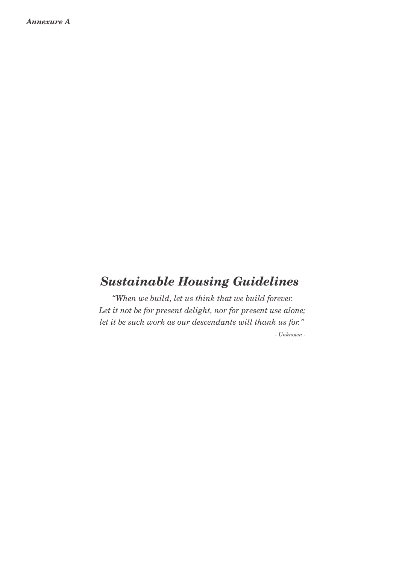# *Sustainable Housing Guidelines*

*Let it not be for present delight, nor for present use alone; "When we build, let us think that we build forever. let it be such work as our descendants will thank us for."*

*- Unknown -*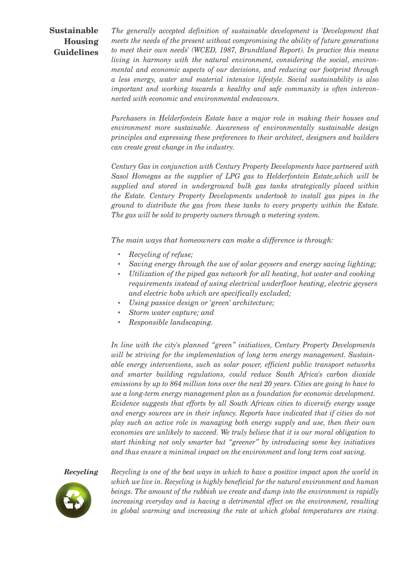# **Sustainable Housing Guidelines**

*The generally accepted definition of sustainable development is 'Development that meets the needs of the present without compromising the ability of future generations to meet their own needs' (WCED, 1987, Brundtland Report). In practice this means living in harmony with the natural environment, considering the social, environmental and economic aspects of our decisions, and reducing our footprint through a less energy, water and material intensive lifestyle. Social sustainability is also important and working towards a healthy and safe community is often interconnected with economic and environmental endeavours. .*

*Purchasers in Helderfontein Estate have a major role in making their houses and environment more sustainable. Awareness of environmentally sustainable design principles and expressing these preferences to their architect, designers and builders can create great change in the industry. .*

*Century Gas in conjunction with Century Property Developments have partnered with Sasol Homegas as the supplier of LPG gas to Helderfontein Estate,which will be supplied and stored in underground bulk gas tanks strategically placed within the Estate. Century Property Developments undertook to install gas pipes in the ground to distribute the gas from these tanks to every property within the Estate. The gas will be sold to property owners through a metering system. .*

*The main ways that homeowners can make a difference is through:*

- $\bullet$ *Recycling of refuse;*
- *Saving energy through the use of solar geysers and energy saving lighting;*
- *Utilization of the piped gas network for all heating, hot water and cooking requirements instead of using electrical underfloor heating, electric geysers and electric hobs which are specifically excluded;*
- *Using passive design or 'green' architecture;*
- *Storm water capture; and*
- *Responsible landscaping.*

*In line with the city's planned "green" initiatives, Century Property Developments will be striving for the implementation of long term energy management. Sustainable energy interventions, such as solar power, efficient public transport networks and smarter building regulations, could reduce South Africa's carbon dioxide emissions by up to 864 million tons over the next 20 years. Cities are going to have to use a long-term energy management plan as a foundation for economic development. Evidence suggests that efforts by all South African cities to diversify energy usage and energy sources are in their infancy. Reports have indicated that if cities do not play such an active role in managing both energy supply and use, then their own economies are unlikely to succeed. We truly believe that it is our moral obligation to start thinking not only smarter but "greener" by introducing some key initiatives and thus ensure a minimal impact on the environment and long term cost saving.*

### *Recycling*



*Recycling is one of the best ways in which to have a positive impact upon the world in which we live in. Recycling is highly beneficial for the natural environment and human beings. The amount of the rubbish we create and dump into the environment is rapidly increasing everyday and is having a detrimental effect on the environment, resulting in global warming and increasing the rate at which global temperatures are rising.*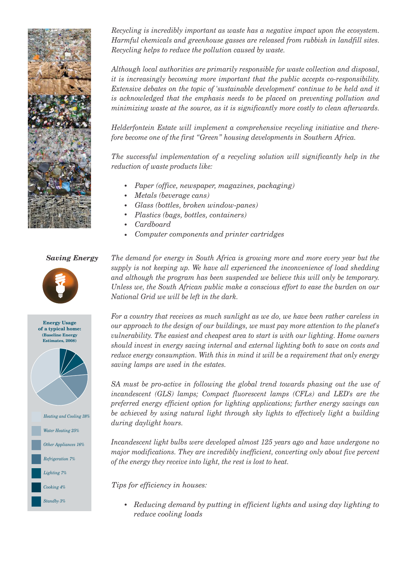

*Recycling is incredibly important as waste has a negative impact upon the ecosystem. Harmful chemicals and greenhouse gasses are released from rubbish in landfill sites. Recycling helps to reduce the pollution caused by waste. .*

*Although local authorities are primarily responsible for waste collection and disposal, it is increasingly becoming more important that the public accepts co-responsibility. Extensive debates on the topic of 'sustainable development' continue to be held and it is acknowledged that the emphasis needs to be placed on preventing pollution and minimizing waste at the source, as it is significantly more costly to clean afterwards.* 

*Helderfontein Estate will implement a comprehensive recycling initiative and therefore become one of the first "Green" housing developments in Southern Africa. .*

*The successful implementation of a recycling solution will significantly help in the reduction of waste products like: .*

- *Paper (office, newspaper, magazines, packaging)*
- *Metals (beverage cans)*
- *Glass (bottles, broken window-panes)*
- *Plastics (bags, bottles, containers)*
- *Cardboard*
- *Computer components and printer cartridges*

## *Saving Energy*



**(Baseline Energy Estimates, 2008) Energy Usage of a typical home:** *Heating and Cooling 38% Water Heating 25% Other Appliances 16% Refrigeration 7% Lighting 7% Cooking 4% Standby 3%*

*The demand for energy in South Africa is growing more and more every year but the supply is not keeping up. We have all experienced the inconvenience of load shedding and although the program has been suspended we believe this will only be temporary. Unless we, the South African public make a conscious effort to ease the burden on our National Grid we will be left in the dark. .* 

*For a country that receives as much sunlight as we do, we have been rather careless in our approach to the design of our buildings, we must pay more attention to the planet's vulnerability. The easiest and cheapest area to start is with our lighting. Home owners should invest in energy saving internal and external lighting both to save on costs and reduce energy consumption. With this in mind it will be a requirement that only energy saving lamps are used in the estates. .* 

*SA must be pro-active in following the global trend towards phasing out the use of incandescent (GLS) lamps; Compact fluorescent lamps (CFLs) and LED's are the preferred energy efficient option for lighting applications; further energy savings can be achieved by using natural light through sky lights to effectively light a building during daylight hours. .*

*Incandescent light bulbs were developed almost 125 years ago and have undergone no major modifications. They are incredibly inefficient, converting only about five percent of the energy they receive into light, the rest is lost to heat.*

*Tips for efficiency in houses:*

 *Reducing demand by putting in efficient lights and using day lighting to reduce cooling loads*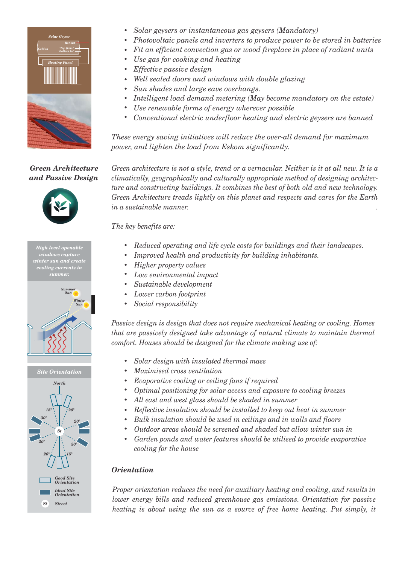

- *Solar geysers or instantaneous gas geysers (Mandatory)*
- *Photovoltaic panels and inverters to produce power to be stored in batteries*
- *Fit an efficient convection gas or wood fireplace in place of radiant units*
- *Use gas for cooking and heating*
- *Effective passive design*
- *Well sealed doors and windows with double glazing*
- *Sun shades and large eave overhangs.*
- *Intelligent load demand metering (May become mandatory on the estate)*
- *Use renewable forms of energy wherever possible*
- *Conventional electric underfloor heating and electric geysers are banned*

*These energy saving initiatives will reduce the over-all demand for maximum power, and lighten the load from Eskom significantly.*

*Green Architecture and Passive Design*



*High level openable windows capture winter sun and create cooling currents in* 



*Site Orientation*



*Green architecture is not a style, trend or a vernacular. Neither is it at all new. It is a climatically, geographically and culturally appropriate method of designing architecture and constructing buildings. It combines the best of both old and new technology. Green Architecture treads lightly on this planet and respects and cares for the Earth in a sustainable manner. .*

*The key benefits are:*

- *Reduced operating and life cycle costs for buildings and their landscapes.*
- *Improved health and productivity for building inhabitants.*
- *Higher property values*
- *Low environmental impact*
- *Sustainable development*
- *Lower carbon footprint*
- *Social responsibility*

*Passive design is design that does not require mechanical heating or cooling. Homes that are passively designed take advantage of natural climate to maintain thermal comfort. Houses should be designed for the climate making use of:*

- *Solar design with insulated thermal mass*
- *Maximised cross ventilation*
- *Evaporative cooling or ceiling fans if required*
- *Optimal positioning for solar access and exposure to cooling breezes*
- *All east and west glass should be shaded in summer*
- *Reflective insulation should be installed to keep out heat in summer*
- *Bulk insulation should be used in ceilings and in walls and floors*  $\bullet$
- *Outdoor areas should be screened and shaded but allow winter sun in*
- *Garden ponds and water features should be utilised to provide evaporative cooling for the house*

# *Orientation*

*Proper orientation reduces the need for auxiliary heating and cooling, and results in lower energy bills and reduced greenhouse gas emissions. Orientation for passive heating is about using the sun as a source of free home heating. Put simply, it*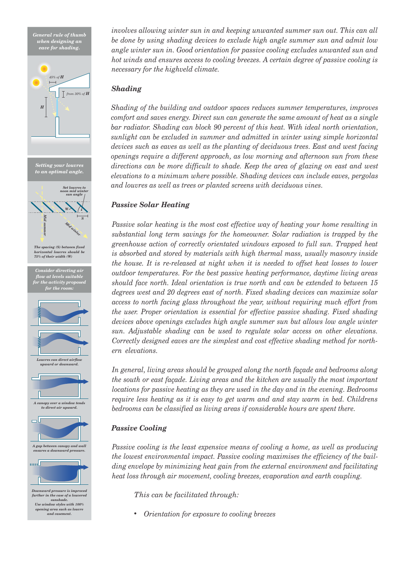*General rule of thumb when designing an eave for shading.*





*Downward pressure is improved further in the case of a louvered sunshade. Use window styles with 100% opening area such as louvre and casement.*

*involves allowing winter sun in and keeping unwanted summer sun out. This can all be done by using shading devices to exclude high angle summer sun and admit low angle winter sun in. Good orientation for passive cooling excludes unwanted sun and hot winds and ensures access to cooling breezes. A certain degree of passive cooling is necessary for the highveld climate.*

# *Shading*

*Shading of the building and outdoor spaces reduces summer temperatures, improves comfort and saves energy. Direct sun can generate the same amount of heat as a single bar radiator. Shading can block 90 percent of this heat. With ideal north orientation, sunlight can be excluded in summer and admitted in winter using simple horizontal devices such as eaves as well as the planting of deciduous trees. East and west facing openings require a different approach, as low morning and afternoon sun from these directions can be more difficult to shade. Keep the area of glazing on east and west elevations to a minimum where possible. Shading devices can include eaves, pergolas and louvres as well as trees or planted screens with deciduous vines.*

# *Passive Solar Heating*

*Passive solar heating is the most cost effective way of heating your home resulting in substantial long term savings for the homeowner. Solar radiation is trapped by the greenhouse action of correctly orientated windows exposed to full sun. Trapped heat is absorbed and stored by materials with high thermal mass, usually masonry inside the house. It is re-released at night when it is needed to offset heat losses to lower outdoor temperatures. For the best passive heating performance, daytime living areas should face north. Ideal orientation is true north and can be extended to between 15 degrees west and 20 degrees east of north. Fixed shading devices can maximize solar access to north facing glass throughout the year, without requiring much effort from the user. Proper orientation is essential for effective passive shading. Fixed shading devices above openings excludes high angle summer sun but allows low angle winter sun. Adjustable shading can be used to regulate solar access on other elevations. Correctly designed eaves are the simplest and cost effective shading method for northern elevations. .*

*In general, living areas should be grouped along the north façade and bedrooms along the south or east façade. Living areas and the kitchen are usually the most important locations for passive heating as they are used in the day and in the evening. Bedrooms require less heating as it is easy to get warm and and stay warm in bed. Childrens bedrooms can be classified as living areas if considerable hours are spent there.*

# *Passive Cooling*

*Passive cooling is the least expensive means of cooling a home, as well as producing the lowest environmental impact. Passive cooling maximises the efficiency of the building envelope by minimizing heat gain from the external environment and facilitating heat loss through air movement, cooling breezes, evaporation and earth coupling.* 

*This can be facilitated through:*

 $\bullet$ *Orientation for exposure to cooling breezes*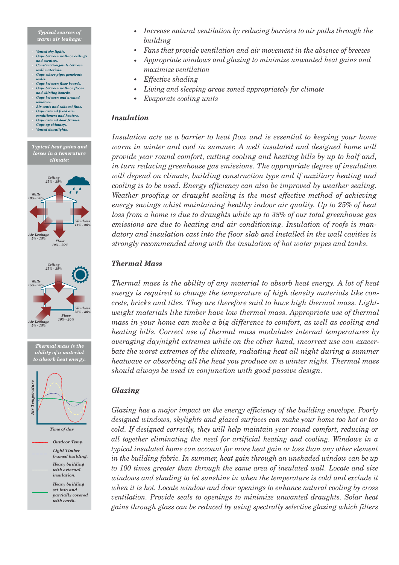#### *Typical sources of warm air leakage:*

- *Vented sky lights. Gaps between walls or ceilings and cornices.*
- *Construction joints between wall materials.*
- *Gaps where pipes penetrate walls.*
- *Gaps between floor boards. Gaps between walls or floors and skirting boards.*
- *Gaps between and around windows. Air vents and exhaust fans.*
- *Gaps around fixed airconditioners and heaters. Gaps around door frames.*
- *Gaps up chimneys. Vented downlights.*



*ability of a material to absorb heat energy.*



*Time of day*

*Outdoor Temp. Light Timberframed building. Heavy building with external insulation. Heavy building set into and*

*partially covered with earth.*

- *Increase natural ventilation by reducing barriers to air paths through the building*
- *Fans that provide ventilation and air movement in the absence of breezes*
- *Appropriate windows and glazing to minimize unwanted heat gains and maximize ventilation*
- *Effective shading*
- *Living and sleeping areas zoned appropriately for climate*
- *Evaporate cooling units*  $\bullet$

# *Insulation*

*Insulation acts as a barrier to heat flow and is essential to keeping your home warm in winter and cool in summer. A well insulated and designed home will provide year round comfort, cutting cooling and heating bills by up to half and, in turn reducing greenhouse gas emissions. The appropriate degree of insulation will depend on climate, building construction type and if auxiliary heating and cooling is to be used. Energy efficiency can also be improved by weather sealing. Weather proofing or draught sealing is the most effective method of achieving energy savings whist maintaining healthy indoor air quality. Up to 25% of heat loss from a home is due to draughts while up to 38% of our total greenhouse gas emissions are due to heating and air conditioning. Insulation of roofs is mandatory and insulation cast into the floor slab and installed in the wall cavities is strongly recommended along with the insulation of hot water pipes and tanks.*

# *Thermal Mass*

*Thermal mass is the ability of any material to absorb heat energy. A lot of heat energy is required to change the temperature of high density materials like concrete, bricks and tiles. They are therefore said to have high thermal mass. Lightweight materials like timber have low thermal mass. Appropriate use of thermal mass in your home can make a big difference to comfort, as well as cooling and heating bills. Correct use of thermal mass modulates internal temperatures by averaging day/night extremes while on the other hand, incorrect use can exacer*bate the worst extremes of the climate, radiating heat all night during a summer *heatwave or absorbing all the heat you produce on a winter night. Thermal mass should always be used in conjunction with good passive design.*

# *Glazing*

*Glazing has a major impact on the energy efficiency of the building envelope. Poorly designed windows, skylights and glazed surfaces can make your home too hot or too cold. If designed correctly, they will help maintain year round comfort, reducing or all together eliminating the need for artificial heating and cooling. Windows in a typical insulated home can account for more heat gain or loss than any other element in the building fabric. In summer, heat gain through an unshaded window can be up to 100 times greater than through the same area of insulated wall. Locate and size windows and shading to let sunshine in when the temperature is cold and exclude it when it is hot. Locate window and door openings to enhance natural cooling by cross ventilation. Provide seals to openings to minimize unwanted draughts. Solar heat gains through glass can be reduced by using spectrally selective glazing which filters*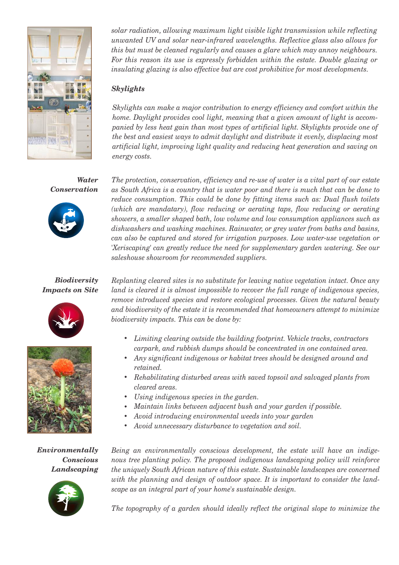

*solar radiation, allowing maximum light visible light transmission while reflecting unwanted UV and solar near-infrared wavelengths. Reflective glass also allows for this but must be cleaned regularly and causes a glare which may annoy neighbours.*  For this reason its use is expressly forbidden within the estate. Double glazing or *insulating glazing is also effective but are cost prohibitive for most developments.* 

# *Skylights*

*Skylights can make a major contribution to energy efficiency and comfort within the home. Daylight provides cool light, meaning that a given amount of light is accompanied by less heat gain than most types of artificial light. Skylights provide one of the best and easiest ways to admit daylight and distribute it evenly, displacing most artificial light, improving light quality and reducing heat generation and saving on energy costs.* 

*Water Conservation*



*Biodiversity Impacts on Site*





*Environmentally Conscious Landscaping*



*The protection, conservation, efficiency and re-use of water is a vital part of our estate as South Africa is a country that is water poor and there is much that can be done to reduce consumption. This could be done by fitting items such as: Dual flush toilets (which are mandatary), flow reducing or aerating taps, flow reducing or aerating showers, a smaller shaped bath, low volume and low consumption appliances such as dishwashers and washing machines. Rainwater, or grey water from baths and basins, can also be captured and stored for irrigation purposes. Low water-use vegetation or 'Xeriscaping' can greatly reduce the need for supplementary garden watering. See our saleshouse showroom for recommended suppliers.* 

*Replanting cleared sites is no substitute for leaving native vegetation intact. Once any land is cleared it is almost impossible to recover the full range of indigenous species, remove introduced species and restore ecological processes. Given the natural beauty and biodiversity of the estate it is recommended that homeowners attempt to minimize biodiversity impacts. This can be done by:*

- *Limiting clearing outside the building footprint. Vehicle tracks, contractors carpark, and rubbish dumps should be concentrated in one contained area.*
- *Any significant indigenous or habitat trees should be designed around and retained.*
- *Rehabilitating disturbed areas with saved topsoil and salvaged plants from cleared areas.*
- *Using indigenous species in the garden.*
- *Maintain links between adjacent bush and your garden if possible.*
- *Avoid introducing environmental weeds into your garden*
- *Avoid unnecessary disturbance to vegetation and soil.*

*Being an environmentally conscious development, the estate will have an indigenous tree planting policy. The proposed indigenous landscaping policy will reinforce the uniquely South African nature of this estate. Sustainable landscapes are concerned with the planning and design of outdoor space. It is important to consider the landscape as an integral part of your home's sustainable design. .* 

The topography of a garden should ideally reflect the original slope to minimize the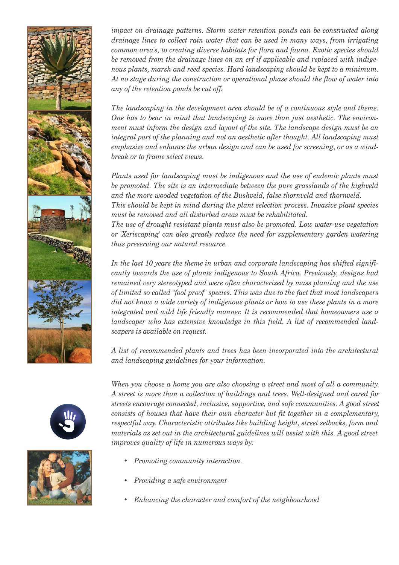

*impact on drainage patterns. Storm water retention ponds can be constructed along drainage lines to collect rain water that can be used in many ways, from irrigating common area's, to creating diverse habitats for flora and fauna. Exotic species should be removed from the drainage lines on an erf if applicable and replaced with indigenous plants, marsh and reed species. Hard landscaping should be kept to a minimum. At no stage during the construction or operational phase should the flow of water into any of the retention ponds be cut off. .* 

*The landscaping in the development area should be of a continuous style and theme. One has to bear in mind that landscaping is more than just aesthetic. The environment must inform the design and layout of the site. The landscape design must be an integral part of the planning and not an aesthetic after thought. All landscaping must emphasize and enhance the urban design and can be used for screening, or as a windbreak or to frame select views. .* 

*Plants used for landscaping must be indigenous and the use of endemic plants must be promoted. The site is an intermediate between the pure grasslands of the highveld and the more wooded vegetation of the Bushveld, false thornveld and thornveld. .*

*This should be kept in mind during the plant selection process. Invasive plant species must be removed and all disturbed areas must be rehabilitated. .*

*The use of drought resistant plants must also be promoted. Low water-use vegetation or 'Xeriscaping' can also greatly reduce the need for supplementary garden watering thus preserving our natural resource. .* 

*In the last 10 years the theme in urban and corporate landscaping has shifted significantly towards the use of plants indigenous to South Africa. Previously, designs had remained very stereotyped and were often characterized by mass planting and the use of limited so called "fool proof" species. This was due to the fact that most landscapers did not know a wide variety of indigenous plants or how to use these plants in a more integrated and wild life friendly manner. It is recommended that homeowners use a landscaper who has extensive knowledge in this field. A list of recommended landscapers is available on request. .*

*A list of recommended plants and trees has been incorporated into the architectural and landscaping guidelines for your information.*



*When you choose a home you are also choosing a street and most of all a community. A street is more than a collection of buildings and trees. Well-designed and cared for streets encourage connected, inclusive, supportive, and safe communities. A good street consists of houses that have their own character but fit together in a complementary, respectful way. Characteristic attributes like building height, street setbacks, form and materials as set out in the architectural guidelines will assist with this. A good street improves quality of life in numerous ways by:*

- *Promoting community interaction.*
- *Providing a safe environment*
- *Enhancing the character and comfort of the neighbourhood*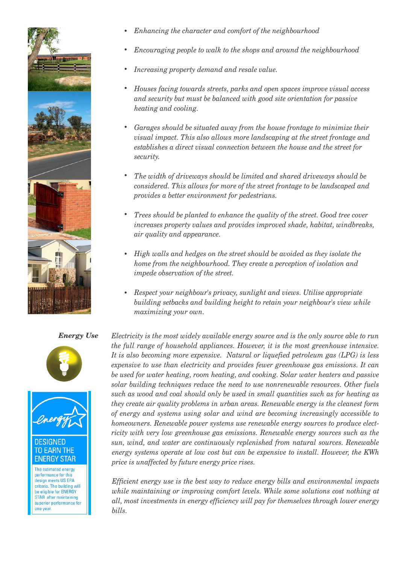

- *Enhancing the character and comfort of the neighbourhood*
- *Encouraging people to walk to the shops and around the neighbourhood*
- *Increasing property demand and resale value.*
- *Houses facing towards streets, parks and open spaces improve visual access and security but must be balanced with good site orientation for passive heating and cooling.*
- *Garages should be situated away from the house frontage to minimize their visual impact. This also allows more landscaping at the street frontage and establishes a direct visual connection between the house and the street for security.*
- *The width of driveways should be limited and shared driveways should be considered. This allows for more of the street frontage to be landscaped and provides a better environment for pedestrians.*
- *Trees should be planted to enhance the quality of the street. Good tree cover increases property values and provides improved shade, habitat, windbreaks, air quality and appearance.*
- *High walls and hedges on the street should be avoided as they isolate the home from the neighbourhood. They create a perception of isolation and impede observation of the street.*
- *Respect your neighbour's privacy, sunlight and views. Utilise appropriate building setbacks and building height to retain your neighbour's view while maximizing your own.*

## *Energy Use*





# **EARN THE ENERGY STAR**

The estimated energy performance for this design meets US EPA criteria. The building will be eligible for ENERGY STAR after maintaining superior performance for one year

*Electricity is the most widely available energy source and is the only source able to run the full range of household appliances. However, it is the most greenhouse intensive. It is also becoming more expensive. Natural or liquefied petroleum gas (LPG) is less expensive to use than electricity and provides fewer greenhouse gas emissions. It can be used for water heating, room heating, and cooking. Solar water heaters and passive solar building techniques reduce the need to use nonrenewable resources. Other fuels such as wood and coal should only be used in small quantities such as for heating as they create air quality problems in urban areas. Renewable energy is the cleanest form of energy and systems using solar and wind are becoming increasingly accessible to homeowners. Renewable power systems use renewable energy sources to produce electricity with very low greenhouse gas emissions. Renewable energy sources such as the sun, wind, and water are continuously replenished from natural sources. Renewable energy systems operate at low cost but can be expensive to install. However, the KWh price is unaffected by future energy price rises. .* 

*Efficient energy use is the best way to reduce energy bills and environmental impacts while maintaining or improving comfort levels. While some solutions cost nothing at all, most investments in energy efficiency will pay for themselves through lower energy bills.*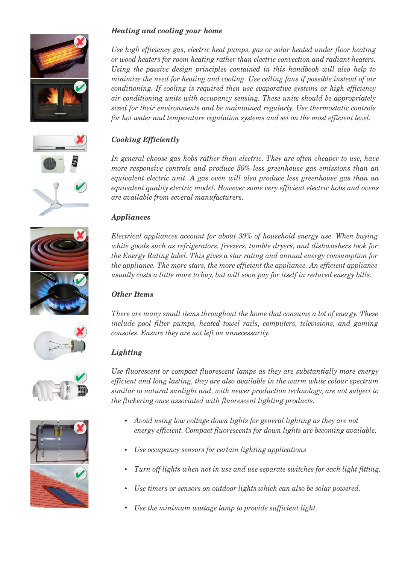









# *Heating and cooling your home*

*Use high efficiency gas, electric heat pumps, gas or solar heated under floor heating or wood heaters for room heating rather than electric convection and radiant heaters.*  Using the passive design principles contained in this handbook will also help to *minimize the need for heating and cooling. Use ceiling fans if possible instead of air conditioning. If cooling is required then use evaporative systems or high efficiency air conditioning units with occupancy sensing. These units should be appropriately sized for their environments and be maintained regularly. Use thermostatic controls for hot water and temperature regulation systems and set on the most efficient level.*

# *Cooking Efficiently*

In general choose gas hobs rather than electric. They are often cheaper to use, have *more responsive controls and produce 50% less greenhouse gas emissions than an equivalent electric unit. A gas oven will also produce less greenhouse gas than an equivalent quality electric model. However some very efficient electric hobs and ovens are available from several manufacturers.* 

# *Appliances*

*Electrical appliances account for about 30% of household energy use. When buying white goods such as refrigerators, freezers, tumble dryers, and dishwashers look for the Energy Rating label. This gives a star rating and annual energy consumption for the appliance. The more stars, the more efficient the appliance. An efficient appliance usually costs a little more to buy, but will soon pay for itself in reduced energy bills.*

# *Other Items*

*There are many small items throughout the home that consume a lot of energy. These include pool filter pumps, heated towel rails, computers, televisions, and gaming consoles. Ensure they are not left on unnecessarily.* 

# *Lighting*

*Use fluorescent or compact fluorescent lamps as they are substantially more energy efficient and long lasting, they are also available in the warm white colour spectrum similar to natural sunlight and, with newer production technology, are not subject to the flickering once associated with fluorescent lighting products.*

- *Avoid using low voltage down lights for general lighting as they are not energy efficient. Compact fluorescents for down lights are becoming available.*
- *Use occupancy sensors for certain lighting applications*
- *Turn off lights when not in use and use separate switches for each light fitting.*
- *Use timers or sensors on outdoor lights which can also be solar powered.*
- *Use the minimum wattage lamp to provide sufficient light.*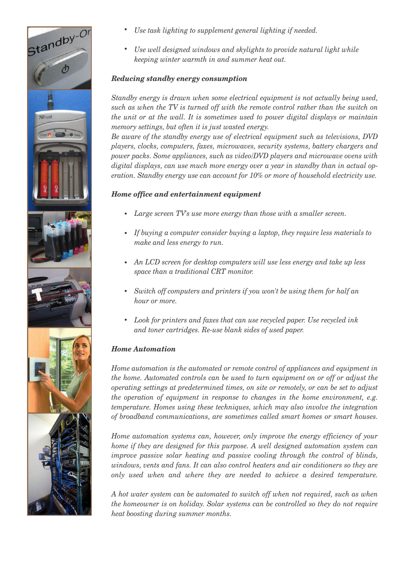

- *Use task lighting to supplement general lighting if needed.*
- *Use well designed windows and skylights to provide natural light while keeping winter warmth in and summer heat out.*

# *Reducing standby energy consumption*

*Standby energy is drawn when some electrical equipment is not actually being used, such as when the TV is turned off with the remote control rather than the switch on the unit or at the wall. It is sometimes used to power digital displays or maintain memory settings, but often it is just wasted energy. .*

*Be aware of the standby energy use of electrical equipment such as televisions, DVD players, clocks, computers, faxes, microwaves, security systems, battery chargers and power packs. Some appliances, such as video/DVD players and microwave ovens with digital displays, can use much more energy over a year in standby than in actual operation. Standby energy use can account for 10% or more of household electricity use.*

# *Home office and entertainment equipment*

- *Large screen TV's use more energy than those with a smaller screen.*
- *If buying a computer consider buying a laptop, they require less materials to make and less energy to run.*
- *An LCD screen for desktop computers will use less energy and take up less space than a traditional CRT monitor.*
- *Switch off computers and printers if you won't be using them for half an hour or more.*
- *Look for printers and faxes that can use recycled paper. Use recycled ink and toner cartridges. Re-use blank sides of used paper.*

# *Home Automation*

*Home automation is the automated or remote control of appliances and equipment in the home. Automated controls can be used to turn equipment on or off or adjust the operating settings at predetermined times, on site or remotely, or can be set to adjust the operation of equipment in response to changes in the home environment, e.g. temperature. Homes using these techniques, which may also involve the integration of broadband communications, are sometimes called smart homes or smart houses.*

*Home automation systems can, however, only improve the energy efficiency of your home if they are designed for this purpose. A well designed automation system can improve passive solar heating and passive cooling through the control of blinds, windows, vents and fans. It can also control heaters and air conditioners so they are only used when and where they are needed to achieve a desired temperature.*

*A hot water system can be automated to switch off when not required, such as when the homeowner is on holiday. Solar systems can be controlled so they do not require heat boosting during summer months.*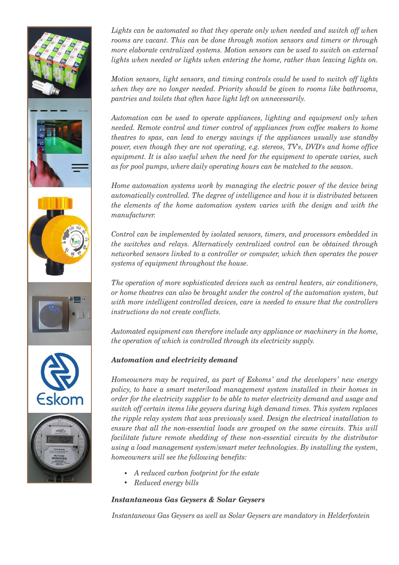

Lights can be automated so that they operate only when needed and switch off when *rooms are vacant. This can be done through motion sensors and timers or through more elaborate centralized systems. Motion sensors can be used to switch on external lights when needed or lights when entering the home, rather than leaving lights on.*

*Motion sensors, light sensors, and timing controls could be used to switch off lights when they are no longer needed. Priority should be given to rooms like bathrooms, pantries and toilets that often have light left on unnecessarily. .*

*Automation can be used to operate appliances, lighting and equipment only when needed. Remote control and timer control of appliances from coffee makers to home theatres to spas, can lead to energy savings if the appliances usually use standby power, even though they are not operating, e.g. stereos, TV's, DVD's and home office equipment. It is also useful when the need for the equipment to operate varies, such as for pool pumps, where daily operating hours can be matched to the season. .*

*Home automation systems work by managing the electric power of the device being automatically controlled. The degree of intelligence and how it is distributed between the elements of the home automation system varies with the design and with the manufacturer. .*

*Control can be implemented by isolated sensors, timers, and processors embedded in the switches and relays. Alternatively centralized control can be obtained through networked sensors linked to a controller or computer, which then operates the power systems of equipment throughout the house. .*

*The operation of more sophisticated devices such as central heaters, air conditioners, or home theatres can also be brought under the control of the automation system, but with more intelligent controlled devices, care is needed to ensure that the controllers instructions do not create conflicts. .* 

*Automated equipment can therefore include any appliance or machinery in the home, the operation of which is controlled through its electricity supply.*

# *Automation and electricity demand*

*Homeowners may be required, as part of Eskoms' and the developers' new energy policy, to have a smart meter/load management system installed in their homes in order for the electricity supplier to be able to meter electricity demand and usage and switch off certain items like geysers during high demand times. This system replaces the ripple relay system that was previously used. Design the electrical installation to ensure that all the non-essential loads are grouped on the same circuits. This will facilitate future remote shedding of these non-essential circuits by the distributor using a load management system/smart meter technologies. By installing the system, homeowners will see the following benefits:* 

- *A reduced carbon footprint for the estate*
- *Reduced energy bills*

# *Instantaneous Gas Geysers & Solar Geysers*

*Instantaneous Gas Geysers as well as Solar Geysers are mandatory in Helderfontein*